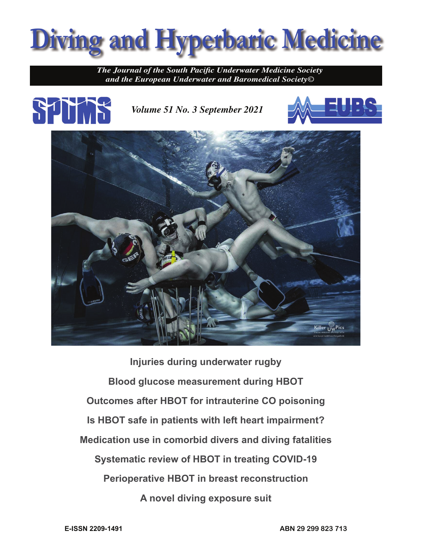

**The Journal of the South Pacific Underwater Medicine Society** *and the European Underwater and Baromedical Society©*



*Volume 51 No. 3 September 2021*





**Injuries during underwater rugby Blood glucose measurement during HBOT Outcomes after HBOT for intrauterine CO poisoning Is HBOT safe in patients with left heart impairment? Medication use in comorbid divers and diving fatalities Systematic review of HBOT in treating COVID-19 Perioperative HBOT in breast reconstruction A novel diving exposure suit**